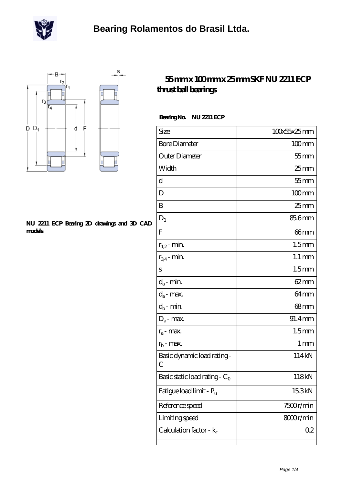



## **[NU 2211 ECP Bearing 2D drawings and 3D CAD](https://m.scottrobertalexander.com/pic-539782.html) [models](https://m.scottrobertalexander.com/pic-539782.html)**

## **[55 mm x 100 mm x 25 mm SKF NU 2211 ECP](https://m.scottrobertalexander.com/skf-nu-2211-ecp-bearing/) [thrust ball bearings](https://m.scottrobertalexander.com/skf-nu-2211-ecp-bearing/)**

## **Bearing No. NU 2211 ECP**

| Size                                      | 100x55x25mm         |
|-------------------------------------------|---------------------|
| <b>Bore Diameter</b>                      | $100$ mm            |
| Outer Diameter                            | $55$ mm             |
| Width                                     | $25$ mm             |
| d                                         | $55$ mm             |
| D                                         | $100$ mm            |
| B                                         | $25 \text{mm}$      |
| $D_1$                                     | 85.6mm              |
| $\overline{F}$                            | 66mm                |
| $r_{1,2}$ - min.                          | 1.5 <sub>mm</sub>   |
| $r_{34}$ - min.                           | $1.1 \,\mathrm{mm}$ |
| S                                         | 1.5 <sub>mm</sub>   |
| $d_a$ - min.                              | 62 mm               |
| $d_a$ - max.                              | 64 <sub>mm</sub>    |
| $d_b$ - min.                              | 68mm                |
| $D_a$ - max.                              | 91.4mm              |
| $r_a$ - max.                              | 1.5 <sub>mm</sub>   |
| $r_{b}$ - max.                            | 1 <sub>mm</sub>     |
| Basic dynamic load rating-<br>C           | 114kN               |
| Basic static load rating - C <sub>0</sub> | 118kN               |
| Fatigue load limit - P <sub>u</sub>       | 15.3kN              |
| Reference speed                           | 7500r/min           |
| Limiting speed                            | 8000r/min           |
| Calculation factor - $k_r$                | 02                  |
|                                           |                     |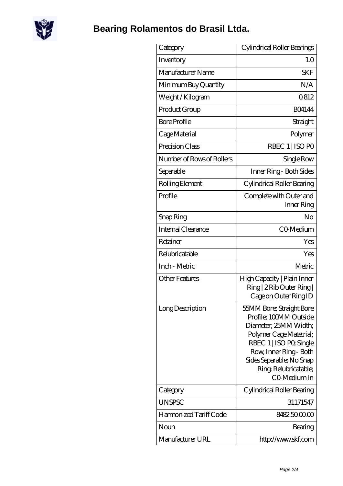

## **[Bearing Rolamentos do Brasil Ltda.](https://m.scottrobertalexander.com)**

| Category                  | Cylindrical Roller Bearings                                                                                                                                                                                                      |
|---------------------------|----------------------------------------------------------------------------------------------------------------------------------------------------------------------------------------------------------------------------------|
| Inventory                 | 1.0                                                                                                                                                                                                                              |
| Manufacturer Name         | <b>SKF</b>                                                                                                                                                                                                                       |
| Minimum Buy Quantity      | N/A                                                                                                                                                                                                                              |
| Weight / Kilogram         | 0812                                                                                                                                                                                                                             |
| Product Group             | <b>BO4144</b>                                                                                                                                                                                                                    |
| <b>Bore Profile</b>       | Straight                                                                                                                                                                                                                         |
| Cage Material             | Polymer                                                                                                                                                                                                                          |
| Precision Class           | RBEC 1   ISO PO                                                                                                                                                                                                                  |
| Number of Rows of Rollers | Single Row                                                                                                                                                                                                                       |
| Separable                 | Inner Ring - Both Sides                                                                                                                                                                                                          |
| Rolling Element           | Cylindrical Roller Bearing                                                                                                                                                                                                       |
| Profile                   | Complete with Outer and<br>Inner Ring                                                                                                                                                                                            |
| Snap Ring                 | No                                                                                                                                                                                                                               |
| Internal Clearance        | CO-Medium                                                                                                                                                                                                                        |
| Retainer                  | Yes                                                                                                                                                                                                                              |
| Relubricatable            | Yes                                                                                                                                                                                                                              |
| Inch - Metric             | Metric                                                                                                                                                                                                                           |
| <b>Other Features</b>     | High Capacity   Plain Inner<br>Ring   2 Rib Outer Ring  <br>Cage on Outer Ring ID                                                                                                                                                |
| Long Description          | 55MM Bore; Straight Bore<br>Profile; 100MM Outside<br>Diameter, 25MM Width;<br>Polymer Cage Matetrial;<br>RBEC 1   ISO PO, Single<br>Row, Inner Ring - Both<br>Sides Separable; No Snap<br>Ring, Relubricatable;<br>CO-Medium In |
| Category                  | Cylindrical Roller Bearing                                                                                                                                                                                                       |
| <b>UNSPSC</b>             | 31171547                                                                                                                                                                                                                         |
| Harmonized Tariff Code    | 8482.5000.00                                                                                                                                                                                                                     |
| Noun                      | Bearing                                                                                                                                                                                                                          |
| Manufacturer URL          | http://www.skf.com                                                                                                                                                                                                               |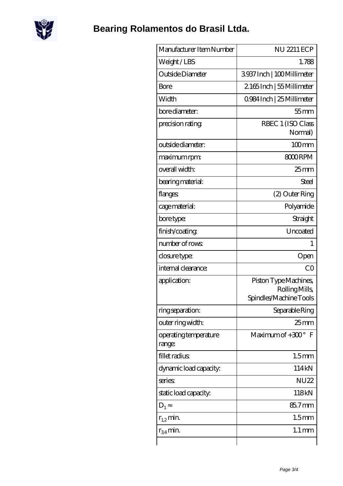

| Manufacturer Item Number        | NU 2211 ECP                                                      |
|---------------------------------|------------------------------------------------------------------|
| Weight/LBS                      | 1.788                                                            |
| Outside Diameter                | 3937Inch   100Millimeter                                         |
| Bore                            | 2165Inch   55 Millimeter                                         |
| Width                           | 0984 Inch   25 Millimeter                                        |
| bore diameter:                  | $55$ mm                                                          |
| precision rating                | RBEC 1 (ISO Class<br>Normal)                                     |
| outside diameter:               | $100$ mm                                                         |
| maximum rpm:                    | 8000RPM                                                          |
| overall width:                  | $25$ mm                                                          |
| bearing material:               | Steel                                                            |
| flanges:                        | (2) Outer Ring                                                   |
| cage material:                  | Polyamide                                                        |
| bore type:                      | Straight                                                         |
| finish/coating                  | Uncoated                                                         |
| number of rows:                 | 1                                                                |
| closure type:                   | Open                                                             |
| internal clearance:             | CO                                                               |
| application:                    | Piston Type Machines,<br>Rolling Mills<br>Spindles/Machine Tools |
| ring separation:                | Separable Ring                                                   |
| outer ring width:               | 25 <sub>mm</sub>                                                 |
| operating temperature<br>range: | Maximum of $+300^\circ$ F                                        |
| fillet radius                   | 1.5 <sub>mm</sub>                                                |
| dynamic load capacity:          | 114kN                                                            |
| series:                         | <b>NU22</b>                                                      |
| static load capacity.           | 118kN                                                            |
| $D_1$                           | 85.7mm                                                           |
| $r_{1,2}$ min.                  | 1.5 <sub>mm</sub>                                                |
| $r_{34}$ min.                   | $1.1 \,\mathrm{mm}$                                              |
|                                 |                                                                  |